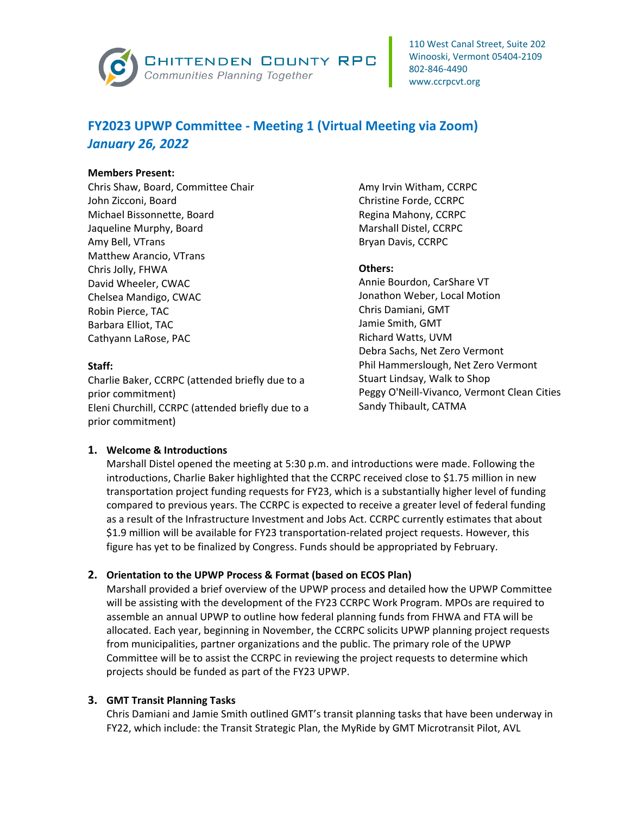

# **FY2023 UPWP Committee - Meeting 1 (Virtual Meeting via Zoom)** *January 26, 2022*

#### **Members Present:**

Chris Shaw, Board, Committee Chair John Zicconi, Board Michael Bissonnette, Board Jaqueline Murphy, Board Amy Bell, VTrans Matthew Arancio, VTrans Chris Jolly, FHWA David Wheeler, CWAC Chelsea Mandigo, CWAC Robin Pierce, TAC Barbara Elliot, TAC Cathyann LaRose, PAC

#### **Staff:**

Charlie Baker, CCRPC (attended briefly due to a prior commitment) Eleni Churchill, CCRPC (attended briefly due to a prior commitment)

Amy Irvin Witham, CCRPC Christine Forde, CCRPC Regina Mahony, CCRPC Marshall Distel, CCRPC Bryan Davis, CCRPC

## **Others:**

Annie Bourdon, CarShare VT Jonathon Weber, Local Motion Chris Damiani, GMT Jamie Smith, GMT Richard Watts, UVM Debra Sachs, Net Zero Vermont Phil Hammerslough, Net Zero Vermont Stuart Lindsay, Walk to Shop Peggy O'Neill-Vivanco, Vermont Clean Cities Sandy Thibault, CATMA

## **1. Welcome & Introductions**

Marshall Distel opened the meeting at 5:30 p.m. and introductions were made. Following the introductions, Charlie Baker highlighted that the CCRPC received close to \$1.75 million in new transportation project funding requests for FY23, which is a substantially higher level of funding compared to previous years. The CCRPC is expected to receive a greater level of federal funding as a result of the Infrastructure Investment and Jobs Act. CCRPC currently estimates that about \$1.9 million will be available for FY23 transportation-related project requests. However, this figure has yet to be finalized by Congress. Funds should be appropriated by February.

## **2. Orientation to the UPWP Process & Format (based on ECOS Plan)**

Marshall provided a brief overview of the UPWP process and detailed how the UPWP Committee will be assisting with the development of the FY23 CCRPC Work Program. MPOs are required to assemble an annual UPWP to outline how federal planning funds from FHWA and FTA will be allocated. Each year, beginning in November, the CCRPC solicits UPWP planning project requests from municipalities, partner organizations and the public. The primary role of the UPWP Committee will be to assist the CCRPC in reviewing the project requests to determine which projects should be funded as part of the FY23 UPWP.

## **3. GMT Transit Planning Tasks**

Chris Damiani and Jamie Smith outlined GMT's transit planning tasks that have been underway in FY22, which include: the Transit Strategic Plan, the MyRide by GMT Microtransit Pilot, AVL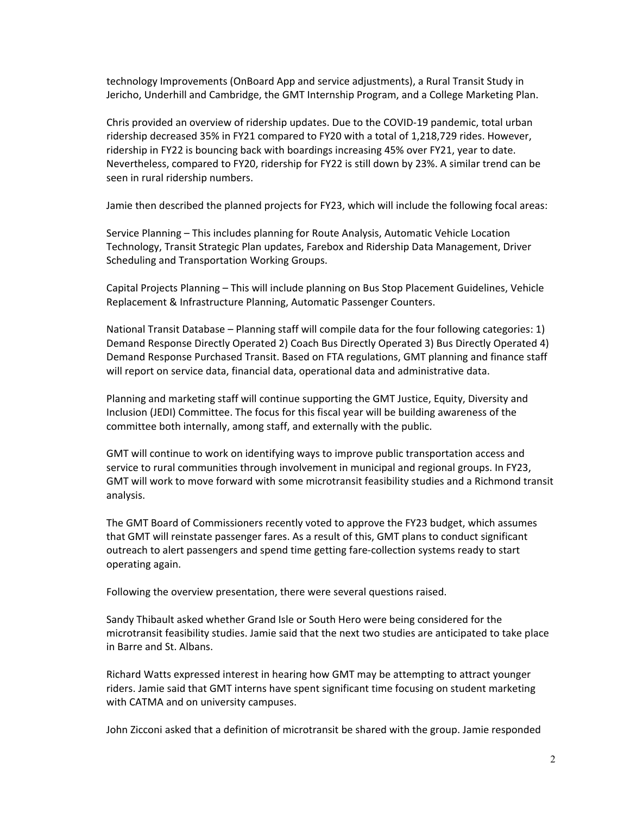technology Improvements (OnBoard App and service adjustments), a Rural Transit Study in Jericho, Underhill and Cambridge, the GMT Internship Program, and a College Marketing Plan.

Chris provided an overview of ridership updates. Due to the COVID-19 pandemic, total urban ridership decreased 35% in FY21 compared to FY20 with a total of 1,218,729 rides. However, ridership in FY22 is bouncing back with boardings increasing 45% over FY21, year to date. Nevertheless, compared to FY20, ridership for FY22 is still down by 23%. A similar trend can be seen in rural ridership numbers.

Jamie then described the planned projects for FY23, which will include the following focal areas:

Service Planning – This includes planning for Route Analysis, Automatic Vehicle Location Technology, Transit Strategic Plan updates, Farebox and Ridership Data Management, Driver Scheduling and Transportation Working Groups.

Capital Projects Planning – This will include planning on Bus Stop Placement Guidelines, Vehicle Replacement & Infrastructure Planning, Automatic Passenger Counters.

National Transit Database – Planning staff will compile data for the four following categories: 1) Demand Response Directly Operated 2) Coach Bus Directly Operated 3) Bus Directly Operated 4) Demand Response Purchased Transit. Based on FTA regulations, GMT planning and finance staff will report on service data, financial data, operational data and administrative data.

Planning and marketing staff will continue supporting the GMT Justice, Equity, Diversity and Inclusion (JEDI) Committee. The focus for this fiscal year will be building awareness of the committee both internally, among staff, and externally with the public.

GMT will continue to work on identifying ways to improve public transportation access and service to rural communities through involvement in municipal and regional groups. In FY23, GMT will work to move forward with some microtransit feasibility studies and a Richmond transit analysis.

The GMT Board of Commissioners recently voted to approve the FY23 budget, which assumes that GMT will reinstate passenger fares. As a result of this, GMT plans to conduct significant outreach to alert passengers and spend time getting fare-collection systems ready to start operating again.

Following the overview presentation, there were several questions raised.

Sandy Thibault asked whether Grand Isle or South Hero were being considered for the microtransit feasibility studies. Jamie said that the next two studies are anticipated to take place in Barre and St. Albans.

Richard Watts expressed interest in hearing how GMT may be attempting to attract younger riders. Jamie said that GMT interns have spent significant time focusing on student marketing with CATMA and on university campuses.

John Zicconi asked that a definition of microtransit be shared with the group. Jamie responded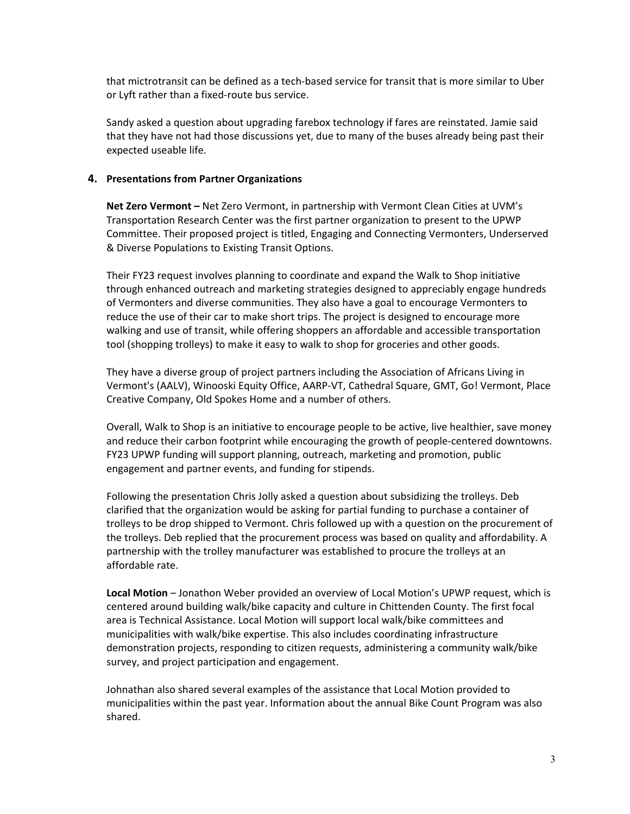that mictrotransit can be defined as a tech-based service for transit that is more similar to Uber or Lyft rather than a fixed-route bus service.

Sandy asked a question about upgrading farebox technology if fares are reinstated. Jamie said that they have not had those discussions yet, due to many of the buses already being past their expected useable life.

## **4. Presentations from Partner Organizations**

**Net Zero Vermont –** Net Zero Vermont, in partnership with Vermont Clean Cities at UVM's Transportation Research Center was the first partner organization to present to the UPWP Committee. Their proposed project is titled, Engaging and Connecting Vermonters, Underserved & Diverse Populations to Existing Transit Options.

Their FY23 request involves planning to coordinate and expand the Walk to Shop initiative through enhanced outreach and marketing strategies designed to appreciably engage hundreds of Vermonters and diverse communities. They also have a goal to encourage Vermonters to reduce the use of their car to make short trips. The project is designed to encourage more walking and use of transit, while offering shoppers an affordable and accessible transportation tool (shopping trolleys) to make it easy to walk to shop for groceries and other goods.

They have a diverse group of project partners including the Association of Africans Living in Vermont's (AALV), Winooski Equity Office, AARP-VT, Cathedral Square, GMT, Go! Vermont, Place Creative Company, Old Spokes Home and a number of others.

Overall, Walk to Shop is an initiative to encourage people to be active, live healthier, save money and reduce their carbon footprint while encouraging the growth of people-centered downtowns. FY23 UPWP funding will support planning, outreach, marketing and promotion, public engagement and partner events, and funding for stipends.

Following the presentation Chris Jolly asked a question about subsidizing the trolleys. Deb clarified that the organization would be asking for partial funding to purchase a container of trolleys to be drop shipped to Vermont. Chris followed up with a question on the procurement of the trolleys. Deb replied that the procurement process was based on quality and affordability. A partnership with the trolley manufacturer was established to procure the trolleys at an affordable rate.

**Local Motion** – Jonathon Weber provided an overview of Local Motion's UPWP request, which is centered around building walk/bike capacity and culture in Chittenden County. The first focal area is Technical Assistance. Local Motion will support local walk/bike committees and municipalities with walk/bike expertise. This also includes coordinating infrastructure demonstration projects, responding to citizen requests, administering a community walk/bike survey, and project participation and engagement.

Johnathan also shared several examples of the assistance that Local Motion provided to municipalities within the past year. Information about the annual Bike Count Program was also shared.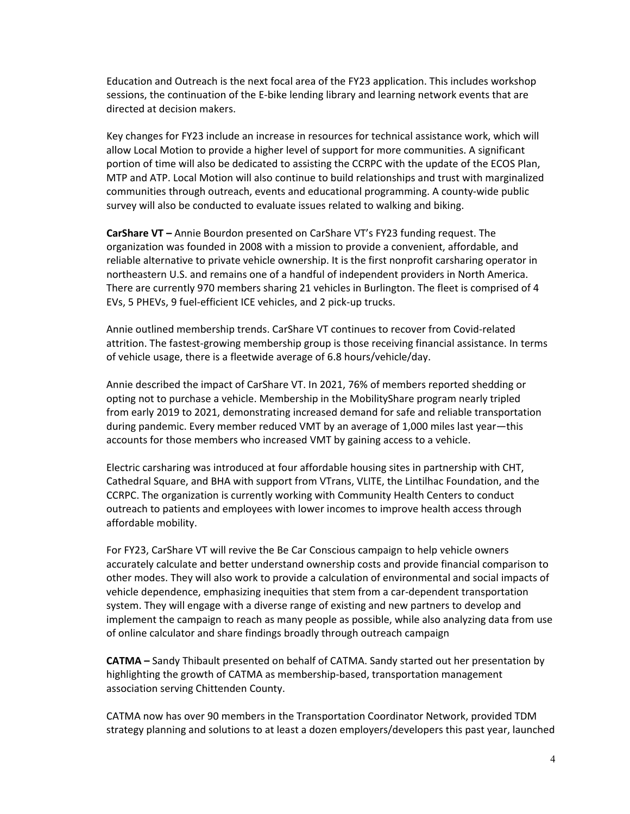Education and Outreach is the next focal area of the FY23 application. This includes workshop sessions, the continuation of the E-bike lending library and learning network events that are directed at decision makers.

Key changes for FY23 include an increase in resources for technical assistance work, which will allow Local Motion to provide a higher level of support for more communities. A significant portion of time will also be dedicated to assisting the CCRPC with the update of the ECOS Plan, MTP and ATP. Local Motion will also continue to build relationships and trust with marginalized communities through outreach, events and educational programming. A county-wide public survey will also be conducted to evaluate issues related to walking and biking.

**CarShare VT –** Annie Bourdon presented on CarShare VT's FY23 funding request. The organization was founded in 2008 with a mission to provide a convenient, affordable, and reliable alternative to private vehicle ownership. It is the first nonprofit carsharing operator in northeastern U.S. and remains one of a handful of independent providers in North America. There are currently 970 members sharing 21 vehicles in Burlington. The fleet is comprised of 4 EVs, 5 PHEVs, 9 fuel-efficient ICE vehicles, and 2 pick-up trucks.

Annie outlined membership trends. CarShare VT continues to recover from Covid-related attrition. The fastest-growing membership group is those receiving financial assistance. In terms of vehicle usage, there is a fleetwide average of 6.8 hours/vehicle/day.

Annie described the impact of CarShare VT. In 2021, 76% of members reported shedding or opting not to purchase a vehicle. Membership in the MobilityShare program nearly tripled from early 2019 to 2021, demonstrating increased demand for safe and reliable transportation during pandemic. Every member reduced VMT by an average of 1,000 miles last year—this accounts for those members who increased VMT by gaining access to a vehicle.

Electric carsharing was introduced at four affordable housing sites in partnership with CHT, Cathedral Square, and BHA with support from VTrans, VLITE, the Lintilhac Foundation, and the CCRPC. The organization is currently working with Community Health Centers to conduct outreach to patients and employees with lower incomes to improve health access through affordable mobility.

For FY23, CarShare VT will revive the Be Car Conscious campaign to help vehicle owners accurately calculate and better understand ownership costs and provide financial comparison to other modes. They will also work to provide a calculation of environmental and social impacts of vehicle dependence, emphasizing inequities that stem from a car-dependent transportation system. They will engage with a diverse range of existing and new partners to develop and implement the campaign to reach as many people as possible, while also analyzing data from use of online calculator and share findings broadly through outreach campaign

**CATMA –** Sandy Thibault presented on behalf of CATMA. Sandy started out her presentation by highlighting the growth of CATMA as membership-based, transportation management association serving Chittenden County.

CATMA now has over 90 members in the Transportation Coordinator Network, provided TDM strategy planning and solutions to at least a dozen employers/developers this past year, launched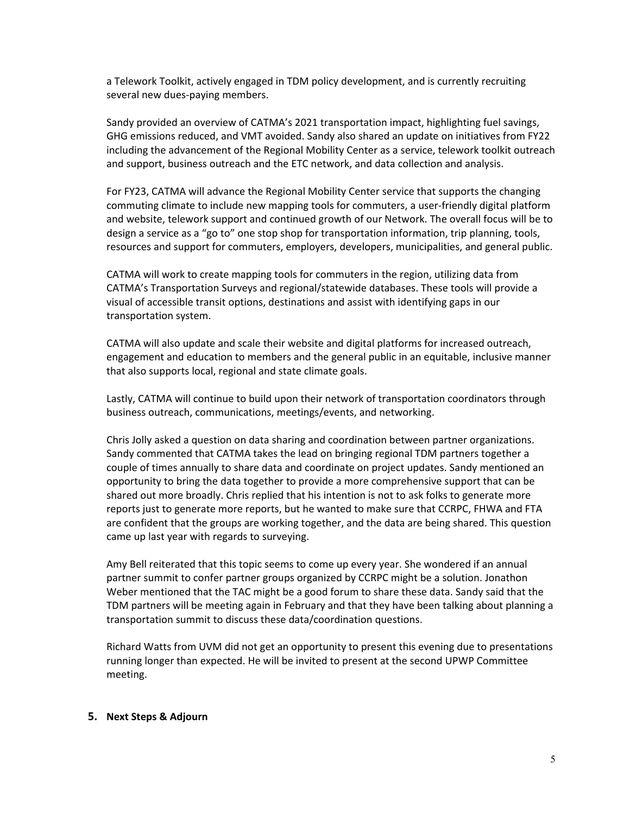a Telework Toolkit, actively engaged in TDM policy development, and is currently recruiting several new dues-paying members.

Sandy provided an overview of CATMA's 2021 transportation impact, highlighting fuel savings, GHG emissions reduced, and VMT avoided. Sandy also shared an update on initiatives from FY22 including the advancement of the Regional Mobility Center as a service, telework toolkit outreach and support, business outreach and the ETC network, and data collection and analysis.

For FY23, CATMA will advance the Regional Mobility Center service that supports the changing commuting climate to include new mapping tools for commuters, a user-friendly digital platform and website, telework support and continued growth of our Network. The overall focus will be to design a service as a "go to" one stop shop for transportation information, trip planning, tools, resources and support for commuters, employers, developers, municipalities, and general public.

CATMA will work to create mapping tools for commuters in the region, utilizing data from CATMA's Transportation Surveys and regional/statewide databases. These tools will provide a visual of accessible transit options, destinations and assist with identifying gaps in our transportation system.

CATMA will also update and scale their website and digital platforms for increased outreach, engagement and education to members and the general public in an equitable, inclusive manner that also supports local, regional and state climate goals.

Lastly, CATMA will continue to build upon their network of transportation coordinators through business outreach, communications, meetings/events, and networking.

Chris Jolly asked a question on data sharing and coordination between partner organizations. Sandy commented that CATMA takes the lead on bringing regional TDM partners together a couple of times annually to share data and coordinate on project updates. Sandy mentioned an opportunity to bring the data together to provide a more comprehensive support that can be shared out more broadly. Chris replied that his intention is not to ask folks to generate more reports just to generate more reports, but he wanted to make sure that CCRPC, FHWA and FTA are confident that the groups are working together, and the data are being shared. This question came up last year with regards to surveying.

Amy Bell reiterated that this topic seems to come up every year. She wondered if an annual partner summit to confer partner groups organized by CCRPC might be a solution. Jonathon Weber mentioned that the TAC might be a good forum to share these data. Sandy said that the TDM partners will be meeting again in February and that they have been talking about planning a transportation summit to discuss these data/coordination questions.

Richard Watts from UVM did not get an opportunity to present this evening due to presentations running longer than expected. He will be invited to present at the second UPWP Committee meeting.

#### **5. Next Steps & Adjourn**